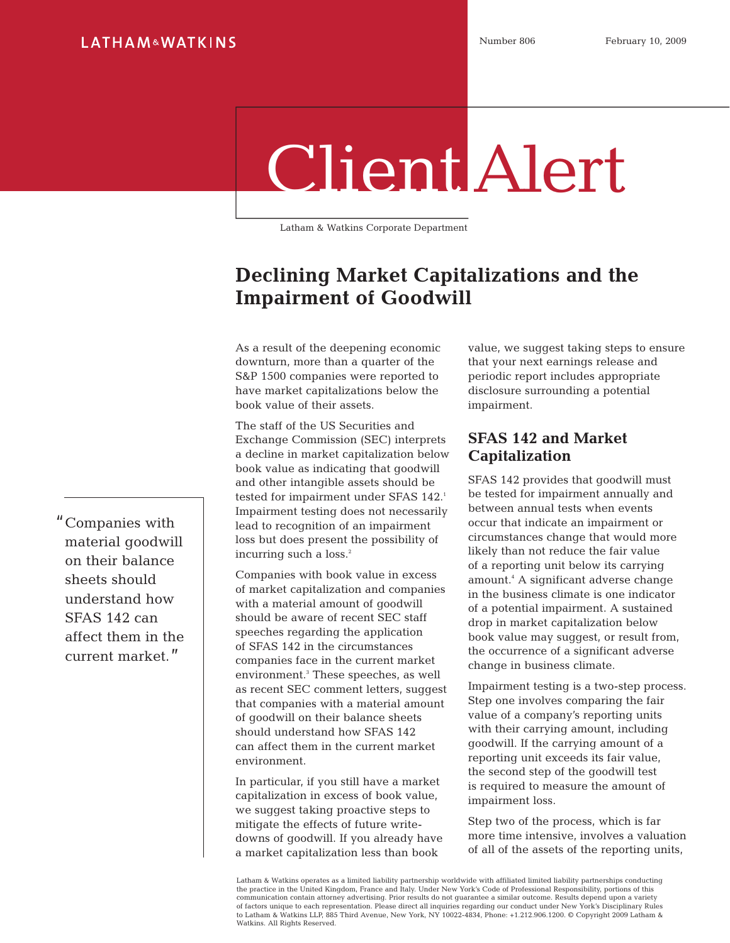# Client Alert

Latham & Watkins Corporate Department

## **Declining Market Capitalizations and the Impairment of Goodwill**

As a result of the deepening economic downturn, more than a quarter of the S&P 1500 companies were reported to have market capitalizations below the book value of their assets.

The staff of the US Securities and Exchange Commission (SEC) interprets a decline in market capitalization below book value as indicating that goodwill and other intangible assets should be tested for impairment under SFAS 142.<sup>1</sup> Impairment testing does not necessarily lead to recognition of an impairment loss but does present the possibility of incurring such a loss.<sup>2</sup>

Companies with book value in excess of market capitalization and companies with a material amount of goodwill should be aware of recent SEC staff speeches regarding the application of SFAS 142 in the circumstances companies face in the current market environment.3 These speeches, as well as recent SEC comment letters, suggest that companies with a material amount of goodwill on their balance sheets should understand how SFAS 142 can affect them in the current market environment.

In particular, if you still have a market capitalization in excess of book value, we suggest taking proactive steps to mitigate the effects of future writedowns of goodwill. If you already have a market capitalization less than book

value, we suggest taking steps to ensure that your next earnings release and periodic report includes appropriate disclosure surrounding a potential impairment.

#### **SFAS 142 and Market Capitalization**

SFAS 142 provides that goodwill must be tested for impairment annually and between annual tests when events occur that indicate an impairment or circumstances change that would more likely than not reduce the fair value of a reporting unit below its carrying amount.4 A significant adverse change in the business climate is one indicator of a potential impairment. A sustained drop in market capitalization below book value may suggest, or result from, the occurrence of a significant adverse change in business climate.

Impairment testing is a two-step process. Step one involves comparing the fair value of a company's reporting units with their carrying amount, including goodwill. If the carrying amount of a reporting unit exceeds its fair value, the second step of the goodwill test is required to measure the amount of impairment loss.

Step two of the process, which is far more time intensive, involves a valuation of all of the assets of the reporting units,

Latham & Watkins operates as a limited liability partnership worldwide with affiliated limited liability partnerships conducting the practice in the United Kingdom, France and Italy. Under New York's Code of Professional Responsibility, portions of this communication contain attorney advertising. Prior results do not guarantee a similar outcome. Results depend upon a variety of factors unique to each representation. Please direct all inquiries regarding our conduct under New York's Disciplinary Rules<br>to Latham & Watkins LLP, 885 Third Avenue, New York, NY 10022-4834, Phone: +1.212.906.1200. © Watkins. All Rights Reserved.

"Companies with material goodwill on their balance sheets should understand how SFAS 142 can affect them in the current market."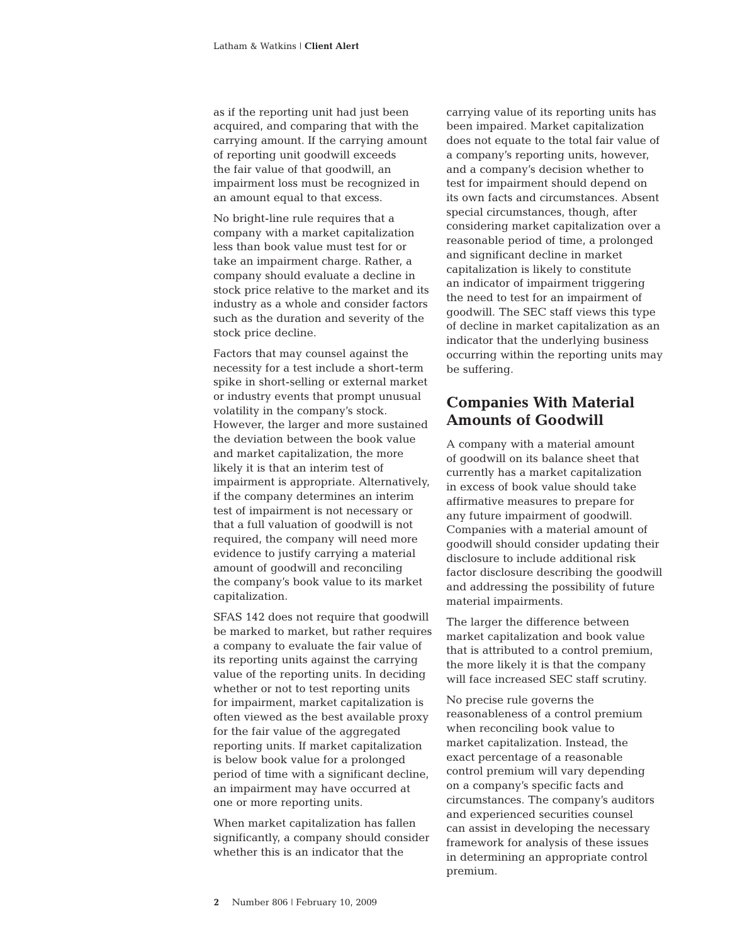as if the reporting unit had just been acquired, and comparing that with the carrying amount. If the carrying amount of reporting unit goodwill exceeds the fair value of that goodwill, an impairment loss must be recognized in an amount equal to that excess.

No bright-line rule requires that a company with a market capitalization less than book value must test for or take an impairment charge. Rather, a company should evaluate a decline in stock price relative to the market and its industry as a whole and consider factors such as the duration and severity of the stock price decline.

Factors that may counsel against the necessity for a test include a short-term spike in short-selling or external market or industry events that prompt unusual volatility in the company's stock. However, the larger and more sustained the deviation between the book value and market capitalization, the more likely it is that an interim test of impairment is appropriate. Alternatively, if the company determines an interim test of impairment is not necessary or that a full valuation of goodwill is not required, the company will need more evidence to justify carrying a material amount of goodwill and reconciling the company's book value to its market capitalization.

SFAS 142 does not require that goodwill be marked to market, but rather requires a company to evaluate the fair value of its reporting units against the carrying value of the reporting units. In deciding whether or not to test reporting units for impairment, market capitalization is often viewed as the best available proxy for the fair value of the aggregated reporting units. If market capitalization is below book value for a prolonged period of time with a significant decline, an impairment may have occurred at one or more reporting units.

When market capitalization has fallen significantly, a company should consider whether this is an indicator that the

carrying value of its reporting units has been impaired. Market capitalization does not equate to the total fair value of a company's reporting units, however, and a company's decision whether to test for impairment should depend on its own facts and circumstances. Absent special circumstances, though, after considering market capitalization over a reasonable period of time, a prolonged and significant decline in market capitalization is likely to constitute an indicator of impairment triggering the need to test for an impairment of goodwill. The SEC staff views this type of decline in market capitalization as an indicator that the underlying business occurring within the reporting units may be suffering.

#### **Companies With Material Amounts of Goodwill**

A company with a material amount of goodwill on its balance sheet that currently has a market capitalization in excess of book value should take affirmative measures to prepare for any future impairment of goodwill. Companies with a material amount of goodwill should consider updating their disclosure to include additional risk factor disclosure describing the goodwill and addressing the possibility of future material impairments.

The larger the difference between market capitalization and book value that is attributed to a control premium, the more likely it is that the company will face increased SEC staff scrutiny.

No precise rule governs the reasonableness of a control premium when reconciling book value to market capitalization. Instead, the exact percentage of a reasonable control premium will vary depending on a company's specific facts and circumstances. The company's auditors and experienced securities counsel can assist in developing the necessary framework for analysis of these issues in determining an appropriate control premium.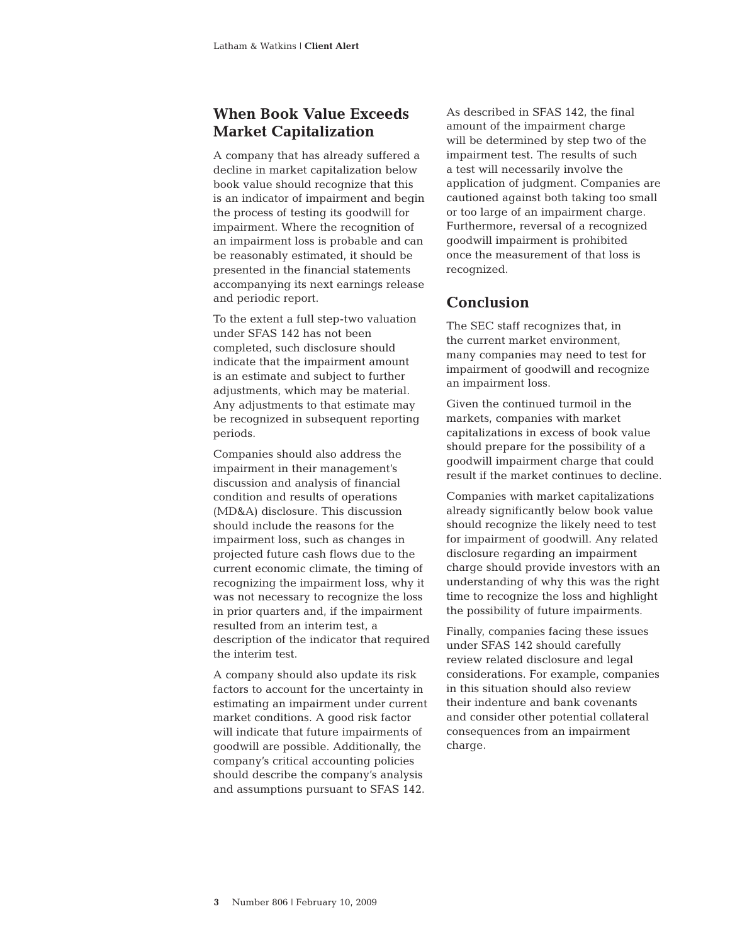#### **When Book Value Exceeds Market Capitalization**

A company that has already suffered a decline in market capitalization below book value should recognize that this is an indicator of impairment and begin the process of testing its goodwill for impairment. Where the recognition of an impairment loss is probable and can be reasonably estimated, it should be presented in the financial statements accompanying its next earnings release and periodic report.

To the extent a full step-two valuation under SFAS 142 has not been completed, such disclosure should indicate that the impairment amount is an estimate and subject to further adjustments, which may be material. Any adjustments to that estimate may be recognized in subsequent reporting periods.

Companies should also address the impairment in their management's discussion and analysis of financial condition and results of operations (MD&A) disclosure. This discussion should include the reasons for the impairment loss, such as changes in projected future cash flows due to the current economic climate, the timing of recognizing the impairment loss, why it was not necessary to recognize the loss in prior quarters and, if the impairment resulted from an interim test, a description of the indicator that required the interim test.

A company should also update its risk factors to account for the uncertainty in estimating an impairment under current market conditions. A good risk factor will indicate that future impairments of goodwill are possible. Additionally, the company's critical accounting policies should describe the company's analysis and assumptions pursuant to SFAS 142.

As described in SFAS 142, the final amount of the impairment charge will be determined by step two of the impairment test. The results of such a test will necessarily involve the application of judgment. Companies are cautioned against both taking too small or too large of an impairment charge. Furthermore, reversal of a recognized goodwill impairment is prohibited once the measurement of that loss is recognized.

### **Conclusion**

The SEC staff recognizes that, in the current market environment, many companies may need to test for impairment of goodwill and recognize an impairment loss.

Given the continued turmoil in the markets, companies with market capitalizations in excess of book value should prepare for the possibility of a goodwill impairment charge that could result if the market continues to decline.

Companies with market capitalizations already significantly below book value should recognize the likely need to test for impairment of goodwill. Any related disclosure regarding an impairment charge should provide investors with an understanding of why this was the right time to recognize the loss and highlight the possibility of future impairments.

Finally, companies facing these issues under SFAS 142 should carefully review related disclosure and legal considerations. For example, companies in this situation should also review their indenture and bank covenants and consider other potential collateral consequences from an impairment charge.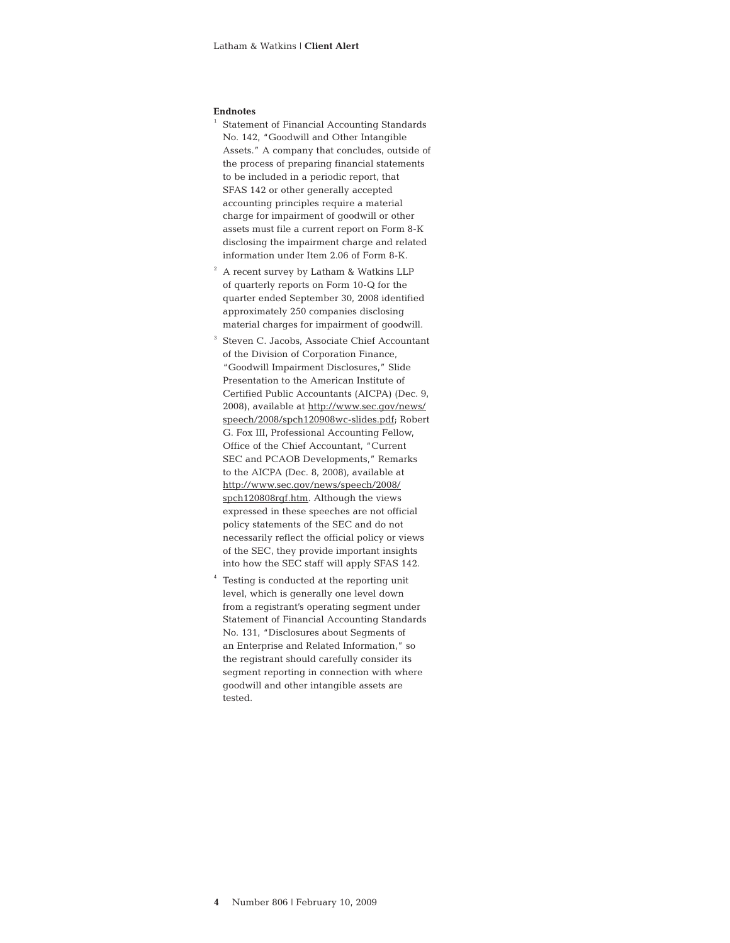#### **Endnotes**

- $^{\rm 1}$  Statement of Financial Accounting Standards No. 142, "Goodwill and Other Intangible Assets." A company that concludes, outside of the process of preparing financial statements to be included in a periodic report, that SFAS 142 or other generally accepted accounting principles require a material charge for impairment of goodwill or other assets must file a current report on Form 8-K disclosing the impairment charge and related information under Item 2.06 of Form 8-K.
- <sup>2</sup> A recent survey by Latham & Watkins LLP of quarterly reports on Form 10-Q for the quarter ended September 30, 2008 identified approximately 250 companies disclosing material charges for impairment of goodwill.
- <sup>3</sup> Steven C. Jacobs, Associate Chief Accountant of the Division of Corporation Finance, "Goodwill Impairment Disclosures," Slide Presentation to the American Institute of Certified Public Accountants (AICPA) (Dec. 9, 2008), available at [http://www.sec.gov/news/](http://www.sec.gov/news/speech/2008/spch120908wc-slides.pdf) [speech/2008/spch120908wc-slides.pdf;](http://www.sec.gov/news/speech/2008/spch120908wc-slides.pdf) Robert G. Fox III, Professional Accounting Fellow, Office of the Chief Accountant, "Current SEC and PCAOB Developments," Remarks to the AICPA (Dec. 8, 2008), available at [http://www.sec.gov/news/speech/2008/](http://www.sec.gov/news/speech/2008/spch120808rgf.htm) [spch120808rgf.htm.](http://www.sec.gov/news/speech/2008/spch120808rgf.htm) Although the views expressed in these speeches are not official policy statements of the SEC and do not necessarily reflect the official policy or views of the SEC, they provide important insights into how the SEC staff will apply SFAS 142.
- Testing is conducted at the reporting unit level, which is generally one level down from a registrant's operating segment under Statement of Financial Accounting Standards No. 131, "Disclosures about Segments of an Enterprise and Related Information," so the registrant should carefully consider its segment reporting in connection with where goodwill and other intangible assets are tested.